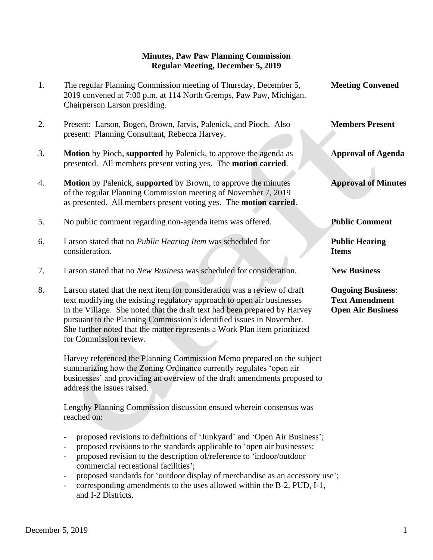## **Minutes, Paw Paw Planning Commission Regular Meeting, December 5, 2019**

- 1. The regular Planning Commission meeting of Thursday, December 5, **Meeting Convened** 2019 convened at 7:00 p.m. at 114 North Gremps, Paw Paw, Michigan. Chairperson Larson presiding.
- 2. Present: Larson, Bogen, Brown, Jarvis, Palenick, and Pioch. Also **Members Present** present: Planning Consultant, Rebecca Harvey.
- 3. **Motion** by Pioch, **supported** by Palenick, to approve the agenda as **Approval of Agenda** presented. All members present voting yes. The **motion carried**.
- 4. **Motion** by Palenick, **supported** by Brown, to approve the minutes **Approval of Minutes** of the regular Planning Commission meeting of November 7, 2019 as presented. All members present voting yes. The **motion carried**.
- 5. No public comment regarding non-agenda items was offered. **Public Comment**
- 6. Larson stated that no *Public Hearing Item* was scheduled for **Public Hearing** consideration. **Items**
- 7. Larson stated that no *New Business* was scheduled for consideration. **New Business**
- 8. Larson stated that the next item for consideration was a review of draft **Ongoing Business**: text modifying the existing regulatory approach to open air businesses **Text Amendment** in the Village. She noted that the draft text had been prepared by Harvey **Open Air Business**  pursuant to the Planning Commission's identified issues in November. She further noted that the matter represents a Work Plan item prioritized for Commission review.

 Harvey referenced the Planning Commission Memo prepared on the subject summarizing how the Zoning Ordinance currently regulates 'open air businesses' and providing an overview of the draft amendments proposed to address the issues raised.

 Lengthy Planning Commission discussion ensued wherein consensus was reached on:

- proposed revisions to definitions of 'Junkyard' and 'Open Air Business';
- proposed revisions to the standards applicable to 'open air businesses;
- proposed revision to the description of/reference to 'indoor/outdoor commercial recreational facilities';
- proposed standards for 'outdoor display of merchandise as an accessory use';
- corresponding amendments to the uses allowed within the B-2, PUD, I-1, and I-2 Districts.